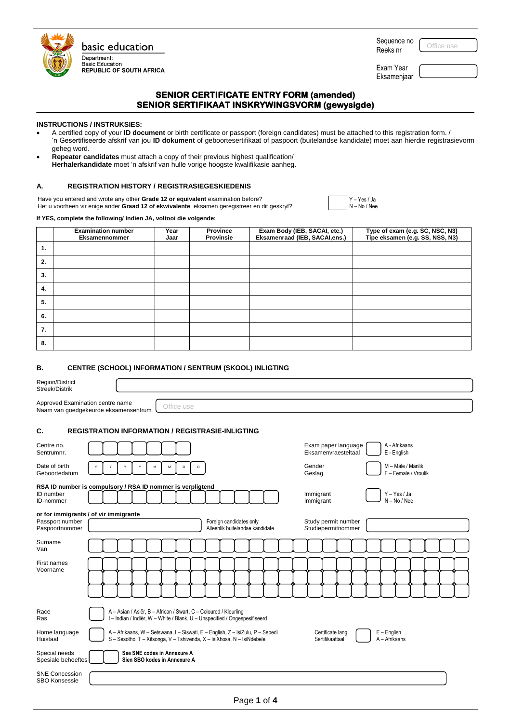|                                               | basic education<br>Department:<br><b>Basic Education</b><br><b>REPUBLIC OF SOUTH AFRICA</b>                                                                                                                                                                                                                                                                                                                                                                                                                                                                       |                                                             |                                                                                                                                                          |                                                                                                  | Sequence no<br>Reeks nr<br>Exam Year<br>Eksamenjaar                | Office use |
|-----------------------------------------------|-------------------------------------------------------------------------------------------------------------------------------------------------------------------------------------------------------------------------------------------------------------------------------------------------------------------------------------------------------------------------------------------------------------------------------------------------------------------------------------------------------------------------------------------------------------------|-------------------------------------------------------------|----------------------------------------------------------------------------------------------------------------------------------------------------------|--------------------------------------------------------------------------------------------------|--------------------------------------------------------------------|------------|
|                                               |                                                                                                                                                                                                                                                                                                                                                                                                                                                                                                                                                                   |                                                             |                                                                                                                                                          | <b>SENIOR CERTIFICATE ENTRY FORM (amended)</b><br>SENIOR SERTIFIKAAT INSKRYWINGSVORM (gewysigde) |                                                                    |            |
| geheg word.<br>$\bullet$<br>А.                | <b>INSTRUCTIONS / INSTRUKSIES:</b><br>A certified copy of your <b>ID document</b> or birth certificate or passport (foreign candidates) must be attached to this registration form. /<br>'n Gesertifiseerde afskrif van jou ID dokument of geboortesertifikaat of paspoort (buitelandse kandidate) moet aan hierdie registrasievorm<br>Repeater candidates must attach a copy of their previous highest qualification/<br>Herhalerkandidate moet 'n afskrif van hulle vorige hoogste kwalifikasie aanheg.<br><b>REGISTRATION HISTORY / REGISTRASIEGESKIEDENIS</b> |                                                             |                                                                                                                                                          |                                                                                                  |                                                                    |            |
|                                               | Have you entered and wrote any other Grade 12 or equivalent examination before?<br>Het u voorheen vir enige ander Graad 12 of ekwivalente eksamen geregistreer en dit geskryf?<br>If YES, complete the following/ Indien JA, voltooi die volgende:                                                                                                                                                                                                                                                                                                                |                                                             |                                                                                                                                                          |                                                                                                  | Y - Yes / Ja<br>$N - No / Nee$                                     |            |
|                                               | <b>Examination number</b><br>Eksamennommer                                                                                                                                                                                                                                                                                                                                                                                                                                                                                                                        | Year<br>Jaar                                                | <b>Province</b><br><b>Provinsie</b>                                                                                                                      | Exam Body (IEB, SACAI, etc.)<br>Eksamenraad (IEB, SACAI,ens.)                                    | Type of exam (e.g. SC, NSC, N3)<br>Tipe eksamen (e.g. SS, NSS, N3) |            |
| 1.                                            |                                                                                                                                                                                                                                                                                                                                                                                                                                                                                                                                                                   |                                                             |                                                                                                                                                          |                                                                                                  |                                                                    |            |
| 2.<br>3.                                      |                                                                                                                                                                                                                                                                                                                                                                                                                                                                                                                                                                   |                                                             |                                                                                                                                                          |                                                                                                  |                                                                    |            |
| 4.                                            |                                                                                                                                                                                                                                                                                                                                                                                                                                                                                                                                                                   |                                                             |                                                                                                                                                          |                                                                                                  |                                                                    |            |
| 5.                                            |                                                                                                                                                                                                                                                                                                                                                                                                                                                                                                                                                                   |                                                             |                                                                                                                                                          |                                                                                                  |                                                                    |            |
| 6.<br>7.                                      |                                                                                                                                                                                                                                                                                                                                                                                                                                                                                                                                                                   |                                                             |                                                                                                                                                          |                                                                                                  |                                                                    |            |
| 8.                                            |                                                                                                                                                                                                                                                                                                                                                                                                                                                                                                                                                                   |                                                             |                                                                                                                                                          |                                                                                                  |                                                                    |            |
| В.<br>Region/District<br>Streek/Distrik       | CENTRE (SCHOOL) INFORMATION / SENTRUM (SKOOL) INLIGTING<br>Approved Examination centre name<br>Naam van goedgekeurde eksamensentrum                                                                                                                                                                                                                                                                                                                                                                                                                               | Office use                                                  |                                                                                                                                                          |                                                                                                  |                                                                    |            |
| C.                                            | <b>REGISTRATION INFORMATION / REGISTRASIE-INLIGTING</b>                                                                                                                                                                                                                                                                                                                                                                                                                                                                                                           |                                                             |                                                                                                                                                          |                                                                                                  |                                                                    |            |
| Centre no.<br>Sentrumnr.                      |                                                                                                                                                                                                                                                                                                                                                                                                                                                                                                                                                                   |                                                             |                                                                                                                                                          | Exam paper language<br>Eksamenvraesteltaal                                                       | A - Afrikaans<br>E - English                                       |            |
| Date of birth<br>Geboortedatum                | Y<br>Y                                                                                                                                                                                                                                                                                                                                                                                                                                                                                                                                                            | M<br>M<br>D                                                 | D                                                                                                                                                        | Gender<br>Geslag                                                                                 | M - Male / Manlik<br>F - Female / Vroulik                          |            |
| ID number<br>ID-nommer                        | RSA ID number is compulsory / RSA ID nommer is verpligtend                                                                                                                                                                                                                                                                                                                                                                                                                                                                                                        |                                                             |                                                                                                                                                          | Immigrant<br>Immigrant                                                                           | Y-Yes/Ja<br>$N - No / Nee$                                         |            |
| Passport number<br>Paspoortnommer             | or for immigrants / of vir immigrante                                                                                                                                                                                                                                                                                                                                                                                                                                                                                                                             |                                                             | Foreign candidates only<br>Alleenlik buitelandse kandidate                                                                                               | Study permit number<br>Studiepermitnommer                                                        |                                                                    |            |
| Surname<br>Van                                |                                                                                                                                                                                                                                                                                                                                                                                                                                                                                                                                                                   |                                                             |                                                                                                                                                          |                                                                                                  |                                                                    |            |
| First names<br>Voorname                       |                                                                                                                                                                                                                                                                                                                                                                                                                                                                                                                                                                   |                                                             |                                                                                                                                                          |                                                                                                  |                                                                    |            |
| Race<br>Ras                                   |                                                                                                                                                                                                                                                                                                                                                                                                                                                                                                                                                                   |                                                             | A - Asian / Asiër, B - African / Swart, C - Coloured / Kleurling<br>I - Indian / Indiër, W - White / Blank, U - Unspecified / Ongespesifiseerd           |                                                                                                  |                                                                    |            |
| Home language<br>Huistaal                     |                                                                                                                                                                                                                                                                                                                                                                                                                                                                                                                                                                   |                                                             | A - Afrikaans, W - Setswana, I - Siswati, E - English, Z - IsiZulu, P - Sepedi<br>S - Sesotho, T - Xitsonga, V - Tshivenda, X - IsiXhosa, N - IsiNdebele | Certificate lang.<br>Sertifikaattaal                                                             | $E -$ English<br>A - Afrikaans                                     |            |
| Special needs<br>Spesiale behoeftes           |                                                                                                                                                                                                                                                                                                                                                                                                                                                                                                                                                                   | See SNE codes in Annexure A<br>Sien SBO kodes in Annexure A |                                                                                                                                                          |                                                                                                  |                                                                    |            |
| <b>SNE Concession</b><br><b>SBO Konsessie</b> |                                                                                                                                                                                                                                                                                                                                                                                                                                                                                                                                                                   |                                                             |                                                                                                                                                          |                                                                                                  |                                                                    |            |

| Page 1 of 4 |  |  |  |
|-------------|--|--|--|
|-------------|--|--|--|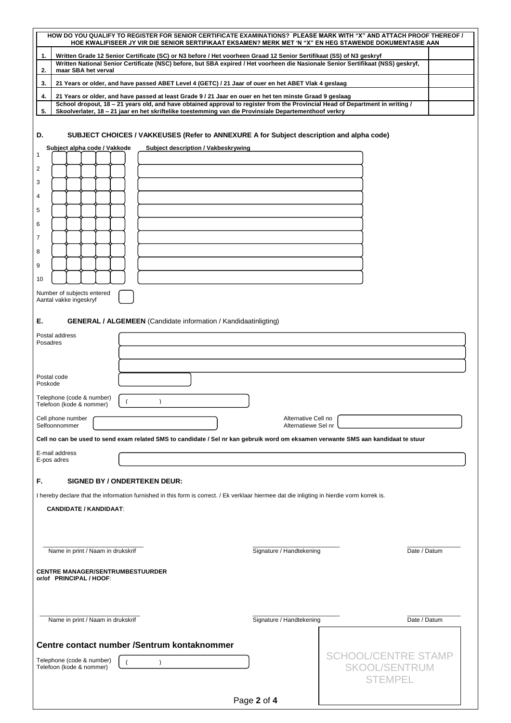| HOW DO YOU QUALIFY TO REGISTER FOR SENIOR CERTIFICATE EXAMINATIONS? PLEASE MARK WITH "X" AND ATTACH PROOF THEREOF /<br>HOE KWALIFISEER JY VIR DIE SENIOR SERTIFIKAAT EKSAMEN? MERK MET 'N "X" EN HEG STAWENDE DOKUMENTASIE AAN                 |                            |              |  |  |
|------------------------------------------------------------------------------------------------------------------------------------------------------------------------------------------------------------------------------------------------|----------------------------|--------------|--|--|
| Written Grade 12 Senior Certificate (SC) or N3 before / Het voorheen Graad 12 Senior Sertifikaat (SS) of N3 geskryf<br>1.                                                                                                                      |                            |              |  |  |
| Written National Senior Certificate (NSC) before, but SBA expired / Het voorheen die Nasionale Senior Sertifikaat (NSS) geskryf,<br>2.<br>maar SBA het verval                                                                                  |                            |              |  |  |
| 3.<br>21 Years or older, and have passed ABET Level 4 (GETC) / 21 Jaar of ouer en het ABET Vlak 4 geslaag                                                                                                                                      |                            |              |  |  |
| 4.<br>21 Years or older, and have passed at least Grade 9 / 21 Jaar en ouer en het ten minste Graad 9 geslaag<br>School dropout, 18 - 21 years old, and have obtained approval to register from the Provincial Head of Department in writing / |                            |              |  |  |
| 5.<br>Skoolverlater, 18 - 21 jaar en het skriftelike toestemming van die Provinsiale Departementhoof verkry                                                                                                                                    |                            |              |  |  |
| D.<br>SUBJECT CHOICES / VAKKEUSES (Refer to ANNEXURE A for Subject description and alpha code)<br>Subject alpha code / Vakkode<br>Subject description / Vakbeskrywing<br>1<br>2<br>3<br>4<br>5<br>6<br>7<br>8<br>9                             |                            |              |  |  |
| 10                                                                                                                                                                                                                                             |                            |              |  |  |
| Number of subjects entered<br>Aantal vakke ingeskryf                                                                                                                                                                                           |                            |              |  |  |
| <b>GENERAL / ALGEMEEN</b> (Candidate information / Kandidaatinligting)<br>Е.                                                                                                                                                                   |                            |              |  |  |
| Postal address                                                                                                                                                                                                                                 |                            |              |  |  |
| Posadres                                                                                                                                                                                                                                       |                            |              |  |  |
|                                                                                                                                                                                                                                                |                            |              |  |  |
| Postal code<br>Poskode                                                                                                                                                                                                                         |                            |              |  |  |
| Telephone (code & number)<br>$\lambda$<br>Telefoon (kode & nommer)                                                                                                                                                                             |                            |              |  |  |
| Cell phone number<br>Alternative Cell no<br>Selfoonnommer<br>Alternatiewe Sel nr                                                                                                                                                               |                            |              |  |  |
| Cell no can be used to send exam related SMS to candidate / Sel nr kan gebruik word om eksamen verwante SMS aan kandidaat te stuur                                                                                                             |                            |              |  |  |
| E-mail address<br>E-pos adres                                                                                                                                                                                                                  |                            |              |  |  |
| F.<br><b>SIGNED BY / ONDERTEKEN DEUR:</b>                                                                                                                                                                                                      |                            |              |  |  |
| I hereby declare that the information furnished in this form is correct. / Ek verklaar hiermee dat die inligting in hierdie vorm korrek is.                                                                                                    |                            |              |  |  |
| <b>CANDIDATE / KANDIDAAT:</b>                                                                                                                                                                                                                  |                            |              |  |  |
|                                                                                                                                                                                                                                                |                            |              |  |  |
|                                                                                                                                                                                                                                                |                            |              |  |  |
| Name in print / Naam in drukskrif                                                                                                                                                                                                              | Signature / Handtekening   | Date / Datum |  |  |
| <b>CENTRE MANAGER/SENTRUMBESTUURDER</b><br>or/of PRINCIPAL / HOOF:                                                                                                                                                                             |                            |              |  |  |
|                                                                                                                                                                                                                                                |                            |              |  |  |
|                                                                                                                                                                                                                                                |                            |              |  |  |
| Name in print / Naam in drukskrif                                                                                                                                                                                                              | Signature / Handtekening   | Date / Datum |  |  |
|                                                                                                                                                                                                                                                |                            |              |  |  |
| Centre contact number /Sentrum kontaknommer                                                                                                                                                                                                    | <b>SCHOOL/CENTRE STAMP</b> |              |  |  |
| Telephone (code & number)<br>$\lambda$<br>Telefoon (kode & nommer)                                                                                                                                                                             | <b>SKOOL/SENTRUM</b>       |              |  |  |
|                                                                                                                                                                                                                                                | <b>STEMPEL</b>             |              |  |  |
|                                                                                                                                                                                                                                                | Page 2 of 4                |              |  |  |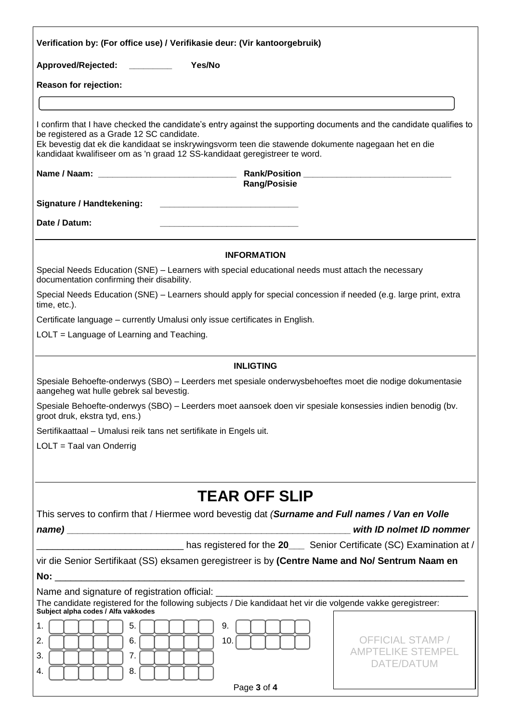| Verification by: (For office use) / Verifikasie deur: (Vir kantoorgebruik)                                              |                                                                                                                                                                                                                            |  |  |  |
|-------------------------------------------------------------------------------------------------------------------------|----------------------------------------------------------------------------------------------------------------------------------------------------------------------------------------------------------------------------|--|--|--|
| Approved/Rejected: ________                                                                                             | Yes/No                                                                                                                                                                                                                     |  |  |  |
| <b>Reason for rejection:</b>                                                                                            |                                                                                                                                                                                                                            |  |  |  |
|                                                                                                                         |                                                                                                                                                                                                                            |  |  |  |
| be registered as a Grade 12 SC candidate.<br>kandidaat kwalifiseer om as 'n graad 12 SS-kandidaat geregistreer te word. | I confirm that I have checked the candidate's entry against the supporting documents and the candidate qualifies to<br>Ek bevestig dat ek die kandidaat se inskrywingsvorm teen die stawende dokumente nagegaan het en die |  |  |  |
|                                                                                                                         | <b>Rang/Posisie</b>                                                                                                                                                                                                        |  |  |  |
| <b>Signature / Handtekening:</b>                                                                                        |                                                                                                                                                                                                                            |  |  |  |
| Date / Datum:                                                                                                           |                                                                                                                                                                                                                            |  |  |  |
|                                                                                                                         | <b>INFORMATION</b>                                                                                                                                                                                                         |  |  |  |
| documentation confirming their disability.                                                                              | Special Needs Education (SNE) - Learners with special educational needs must attach the necessary                                                                                                                          |  |  |  |
| time, etc.).                                                                                                            | Special Needs Education (SNE) – Learners should apply for special concession if needed (e.g. large print, extra                                                                                                            |  |  |  |
| Certificate language - currently Umalusi only issue certificates in English.                                            |                                                                                                                                                                                                                            |  |  |  |
| LOLT = Language of Learning and Teaching.                                                                               |                                                                                                                                                                                                                            |  |  |  |
|                                                                                                                         | <b>INLIGTING</b>                                                                                                                                                                                                           |  |  |  |
| aangeheg wat hulle gebrek sal bevestig.                                                                                 | Spesiale Behoefte-onderwys (SBO) - Leerders met spesiale onderwysbehoeftes moet die nodige dokumentasie                                                                                                                    |  |  |  |
| groot druk, ekstra tyd, ens.)                                                                                           | Spesiale Behoefte-onderwys (SBO) - Leerders moet aansoek doen vir spesiale konsessies indien benodig (bv.                                                                                                                  |  |  |  |
| Sertifikaattaal – Umalusi reik tans net sertifikate in Engels uit.                                                      |                                                                                                                                                                                                                            |  |  |  |
| $LOLT = Taal van Onderrig$                                                                                              |                                                                                                                                                                                                                            |  |  |  |
|                                                                                                                         |                                                                                                                                                                                                                            |  |  |  |
|                                                                                                                         | <b>TEAR OFF SLIP</b>                                                                                                                                                                                                       |  |  |  |
|                                                                                                                         | This serves to confirm that / Hiermee word bevestig dat (Surname and Full names / Van en Volle<br>with ID nolmet ID nommer                                                                                                 |  |  |  |
| has registered for the 20_____ Senior Certificate (SC) Examination at /                                                 |                                                                                                                                                                                                                            |  |  |  |
| vir die Senior Sertifikaat (SS) eksamen geregistreer is by (Centre Name and No/ Sentrum Naam en                         |                                                                                                                                                                                                                            |  |  |  |
|                                                                                                                         |                                                                                                                                                                                                                            |  |  |  |
| Name and signature of registration official:<br>Subject alpha codes / Alfa vakkodes                                     | The candidate registered for the following subjects / Die kandidaat het vir die volgende vakke geregistreer:                                                                                                               |  |  |  |
| 5.<br>1.<br>6.<br>2.<br>3.<br>7.<br>8.<br>4.                                                                            | 9.<br><b>OFFICIAL STAMP /</b><br>10.<br>AMPTELIKE STEMPEL<br>DATE/DATUM<br>Page 3 of 4                                                                                                                                     |  |  |  |